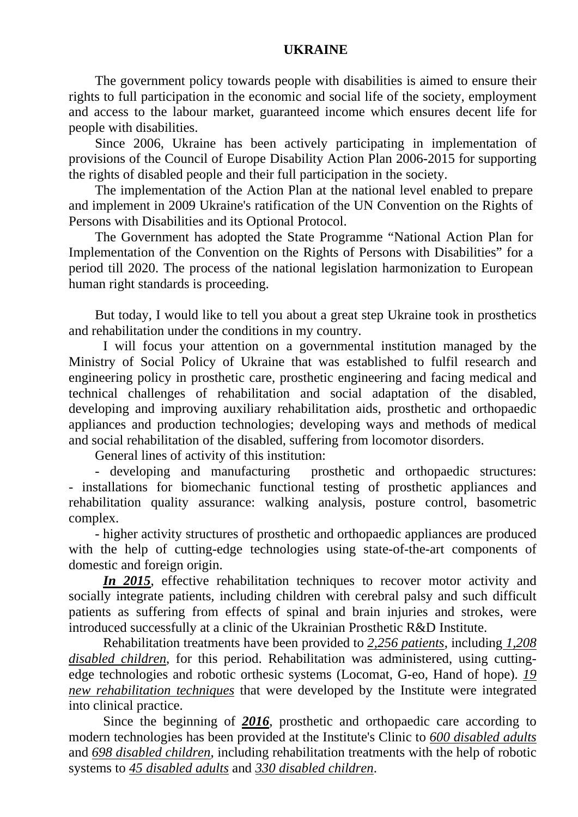## **UKRAINE**

The government policy towards people with disabilities is aimed to ensure their rights to full participation in the economic and social life of the society, employment and access to the labour market, guaranteed income which ensures decent life for people with disabilities.

Since 2006, Ukraine has been actively participating in implementation of provisions of the Council of Europe Disability Action Plan 2006-2015 for supporting the rights of disabled people and their full participation in the society.

The implementation of the Action Plan at the national level enabled to prepare and implement in 2009 Ukraine's ratification of the UN Convention on the Rights of Persons with Disabilities and its Optional Protocol.

The Government has adopted the State Programme "National Action Plan for Implementation of the Convention on the Rights of Persons with Disabilities" for a period till 2020. The process of the national legislation harmonization to European human right standards is proceeding.

But today, I would like to tell you about a great step Ukraine took in prosthetics and rehabilitation under the conditions in my country.

I will focus your attention on a governmental institution managed by the Ministry of Social Policy of Ukraine that was established to fulfil research and engineering policy in prosthetic care, prosthetic engineering and facing medical and technical challenges of rehabilitation and social adaptation of the disabled, developing and improving auxiliary rehabilitation aids, prosthetic and orthopaedic appliances and production technologies; developing ways and methods of medical and social rehabilitation of the disabled, suffering from locomotor disorders.

General lines of activity of this institution:

- developing and manufacturing prosthetic and orthopaedic structures: - installations for biomechanic functional testing of prosthetic appliances and rehabilitation quality assurance: walking analysis, posture control, basometric complex.

- higher activity structures of prosthetic and orthopaedic appliances are produced with the help of cutting-edge technologies using state-of-the-art components of domestic and foreign origin.

*In 2015*, effective rehabilitation techniques to recover motor activity and socially integrate patients, including children with cerebral palsy and such difficult patients as suffering from effects of spinal and brain injuries and strokes, were introduced successfully at a clinic of the Ukrainian Prosthetic R&D Institute.

Rehabilitation treatments have been provided to *2,256 patients*, including *1,208 disabled children*, for this period. Rehabilitation was administered, using cuttingedge technologies and robotic orthesic systems (Locomat, G-eo, Hand of hope). *19 new rehabilitation techniques* that were developed by the Institute were integrated into clinical practice.

Since the beginning of *2016*, prosthetic and orthopaedic care according to modern technologies has been provided at the Institute's Clinic to *600 disabled adults* and *698 disabled children*, including rehabilitation treatments with the help of robotic systems to *45 disabled adults* and *330 disabled children*.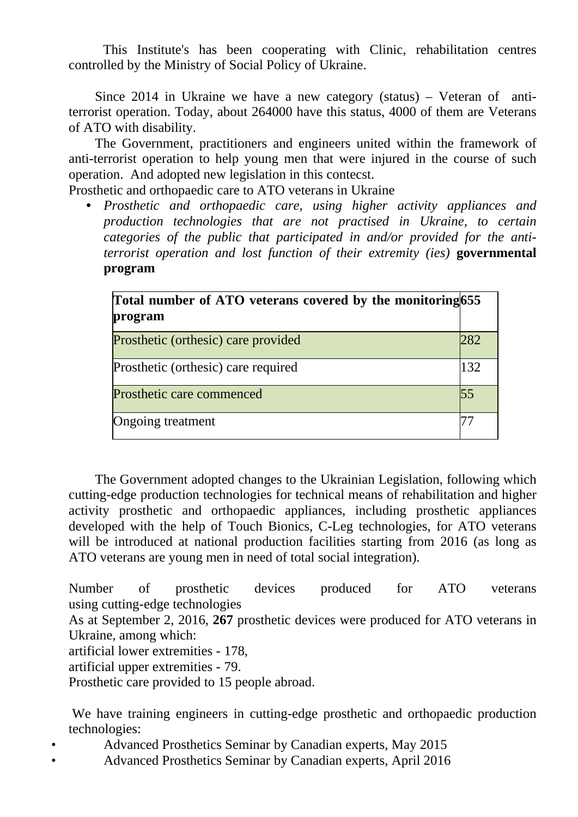This Institute's has been cooperating with Clinic, rehabilitation centres controlled by the Ministry of Social Policy of Ukraine.

Since 2014 in Ukraine we have a new category (status) – Veteran of antiterrorist operation. Today, about 264000 have this status, 4000 of them are Veterans of ATO with disability.

The Government, practitioners and engineers united within the framework of anti-terrorist operation to help young men that were injured in the course of such operation. And adopted new legislation in this contecst.

Prosthetic and orthopaedic care to ATO veterans in Ukraine

• *Prosthetic and orthopaedic care, using higher activity appliances and production technologies that are not practised in Ukraine, to certain categories of the public that participated in and/or provided for the antiterrorist operation and lost function of their extremity (ies)* **governmental program**

| Total number of ATO veterans covered by the monitoring 655<br>program |     |
|-----------------------------------------------------------------------|-----|
| Prosthetic (orthesic) care provided                                   | 282 |
| Prosthetic (orthesic) care required                                   | 132 |
| Prosthetic care commenced                                             |     |
| Ongoing treatment                                                     |     |

The Government adopted changes to the Ukrainian Legislation, following which cutting-edge production technologies for technical means of rehabilitation and higher activity prosthetic and orthopaedic appliances, including prosthetic appliances developed with the help of Touch Bionics, C-Leg technologies, for ATO veterans will be introduced at national production facilities starting from 2016 (as long as ATO veterans are young men in need of total social integration).

Number of prosthetic devices produced for ATO veterans using cutting-edge technologies

As at September 2, 2016, **267** prosthetic devices were produced for ATO veterans in Ukraine, among which:

artificial lower extremities - 178,

artificial upper extremities - 79.

Prosthetic care provided to 15 people abroad.

We have training engineers in cutting-edge prosthetic and orthopaedic production technologies:

• Advanced Prosthetics Seminar by Canadian experts, May 2015

• Advanced Prosthetics Seminar by Canadian experts, April 2016